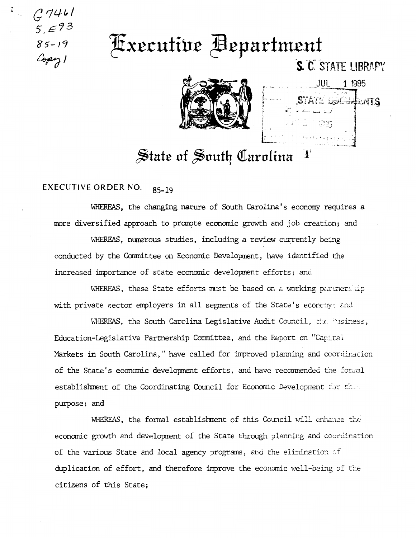$(27461$  $5.593$  $85 - 19$ Copy 1

## Fxecutive Bepartment



JUL 1 1985 STATE DOGGIJENTS

 $\frac{1}{2}$ 

S. C. STATE LIBRAPY

## State of South Carolina

## EXECUTIVE ORDER NO.  $85 - 19$

WHEREAS, the changing nature of South Carolina's economy requires a more diversified approach to promote economic growth and job creation; and

WHEREAS, numerous studies, including a review currently being conducted by the Committee on Economic Development, have identified the increased importance of state economic development efforts; and

WHEREAS, these State efforts must be based on a working partnership with private sector employers in all segments of the State's economy; and

WHEREAS, the South Carolina Legislative Audit Council, the Pusiness, Education-Legislative Partnership Committee, and the Report on "Capital Markets in South Carolina," have called for improved planning and coordination of the State's economic development efforts, and have recommended the formal establishment of the Coordinating Council for Economic Development for this purpose; and

WHEREAS, the formal establishment of this Council will enhance the economic growth and development of the State through planning and coordination of the various State and local agency programs, and the elimination of duplication of effort, and therefore improve the economic well-being of the citizens of this State;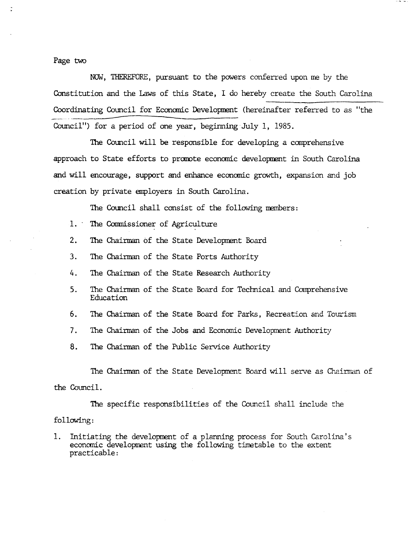Page two

NOW, TIIEREFORE, pursuant to the powers conferred upon me by the Constitution and the Laws of this State, I do hereby create the South Carolina Coordinating Council for Economic Development (hereinafter referred to as ''the Council") for a period of one year, beginning July 1, 1985. dinating Council<br>cil") for a peri

The Council will be responsible for developing a comprehensive approach to State efforts to promote economic development in South Carolina and will encourage, support and enhance economic growth, expansion and job creation by private employers in South Carolina.

The Council shall consist of the following members:

- 1. The Commissioner of Agriculture
- 2. The Chairman of the State Development Board
- 3. The Chairman of the State Ports Authority
- 4. The Chairman of the State Research Authority
- 5. The Chainnan of the State Board for Technical and Comprehensive Education
- 6. The Chairman of the State Board for Parks, Recreation and Tourism
- 7. The Chairman of the Jobs and Economic Development Authority
- 8. The Chairman of the Public Service Authority

The Chairman of the State Development Board will serve as Chairman of the Council.

The specific responsibilities of the Council shall include the following:

1. Initiating the development of a planning process for South Carolina's economic development using the following timetable to the extent practicable: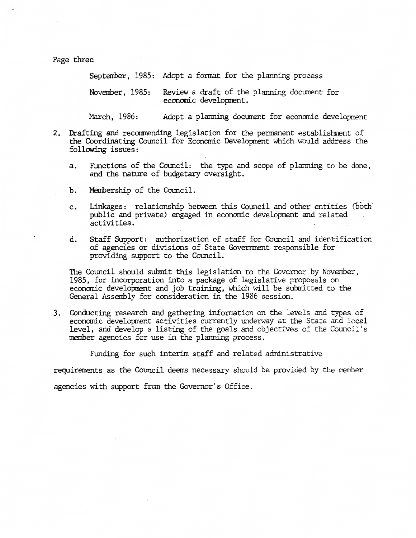Page three

September, 1985: Adopt a format for the planning process November, 1985: Review a draft of the planning document for economic development.

March, 1986: Adopt a planning document for economic development

- 2. Drafting and reccmnending legislation for the pennanent establishment of the Coordinating Council for Economic Development which would address the following issues:
	- a. Functions of the Council: the type and scope of planning to be done, and the nature of budgetary oversight.
	- b. Membership of the Council.
	- c. Linkages: relationship between this Council and other entities (both public and private) engaged in economic development and related activities.
	- d. Staff Support: authorization of staff for Council and identification of agencies or divisions of State Government responsible for providing support to the Council.

The Council should submit this legislation to the Governor by November, 1985, for incorporation into a package of legislative proposals on economic development and job training, which will be submitted to the General Assembly for consideration in the 1986 session.

3. Conducting research and gathering information on the levels and types of economic development activities currently underway at the State and local level, and develop a listing of the goals and objectives of the Council's member agencies for use in the planning process.

Funding for such interim staff and related administrative

requirements as the Council deems necessary should be provided by the member

agencies with support from the Governor's Office.